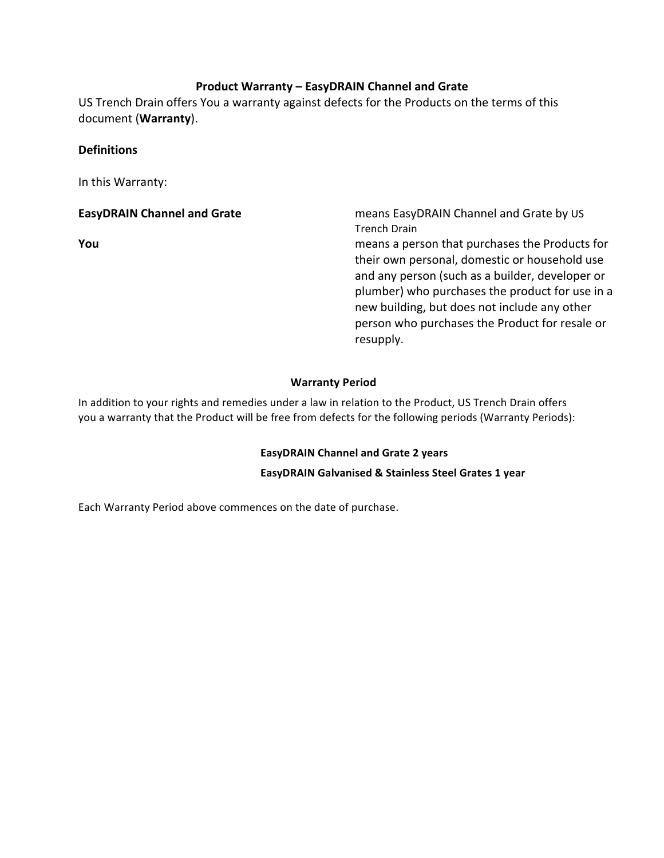#### **Product Warranty – EasyDRAIN Channel and Grate**

US Trench Drain offers You a warranty against defects for the Products on the terms of this document (**Warranty**).

#### **Definitions**

In this Warranty:

**EasyDRAIN Channel and Grate Mannel and Grate** means EasyDRAIN Channel and Grate by US Trench Drain

**You** means a person that purchases the Products for their own personal, domestic or household use and any person (such as a builder, developer or plumber) who purchases the product for use in a new building, but does not include any other person who purchases the Product for resale or resupply. 

#### **Warranty Period**

In addition to your rights and remedies under a law in relation to the Product, US Trench Drain offers you a warranty that the Product will be free from defects for the following periods (Warranty Periods):

#### **EasyDRAIN Channel and Grate 2 years**

**EasyDRAIN Galvanised & Stainless Steel Grates 1 year**

Each Warranty Period above commences on the date of purchase.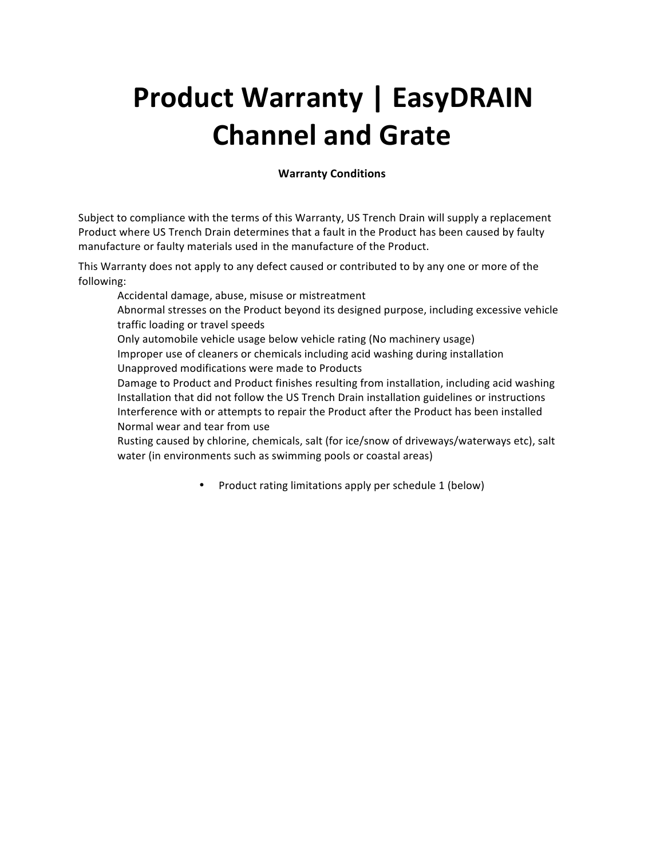# **Product Warranty | EasyDRAIN Channel and Grate**

#### **Warranty Conditions**

Subject to compliance with the terms of this Warranty, US Trench Drain will supply a replacement Product where US Trench Drain determines that a fault in the Product has been caused by faulty manufacture or faulty materials used in the manufacture of the Product.

This Warranty does not apply to any defect caused or contributed to by any one or more of the following: 

Accidental damage, abuse, misuse or mistreatment

Abnormal stresses on the Product beyond its designed purpose, including excessive vehicle traffic loading or travel speeds

Only automobile vehicle usage below vehicle rating (No machinery usage)

Improper use of cleaners or chemicals including acid washing during installation Unapproved modifications were made to Products

Damage to Product and Product finishes resulting from installation, including acid washing Installation that did not follow the US Trench Drain installation guidelines or instructions Interference with or attempts to repair the Product after the Product has been installed Normal wear and tear from use

Rusting caused by chlorine, chemicals, salt (for ice/snow of driveways/waterways etc), salt water (in environments such as swimming pools or coastal areas)

• Product rating limitations apply per schedule 1 (below)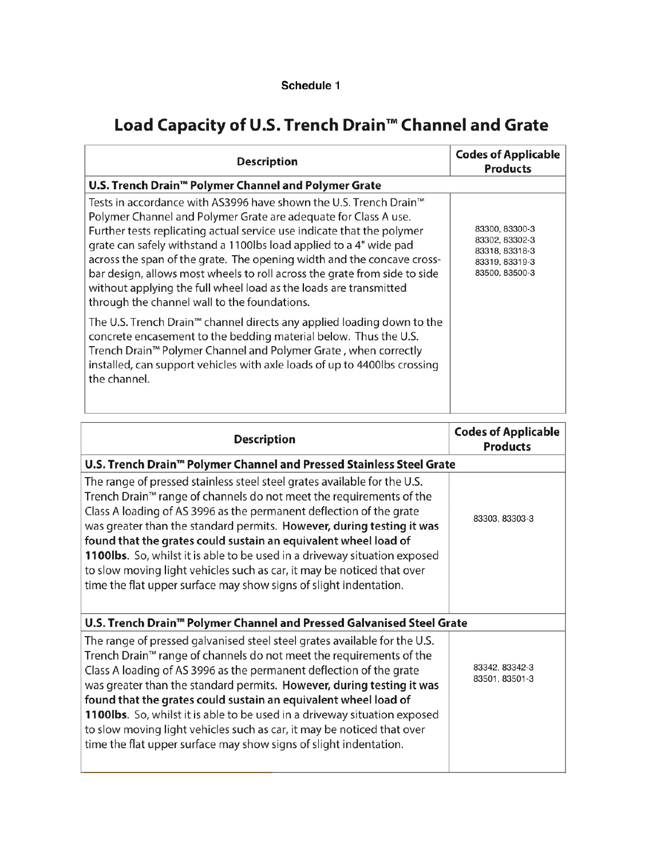### Schedule 1

## Load Capacity of U.S. Trench Drain<sup>™</sup> Channel and Grate

| <b>Description</b>                                                                                                                                                                                                                                                                                                                                                                                                                                                                                                                                               | <b>Codes of Applicable</b><br><b>Products</b>                                          |
|------------------------------------------------------------------------------------------------------------------------------------------------------------------------------------------------------------------------------------------------------------------------------------------------------------------------------------------------------------------------------------------------------------------------------------------------------------------------------------------------------------------------------------------------------------------|----------------------------------------------------------------------------------------|
| U.S. Trench Drain™ Polymer Channel and Polymer Grate                                                                                                                                                                                                                                                                                                                                                                                                                                                                                                             |                                                                                        |
| Tests in accordance with AS3996 have shown the U.S. Trench Drain™<br>Polymer Channel and Polymer Grate are adequate for Class A use.<br>Further tests replicating actual service use indicate that the polymer<br>grate can safely withstand a 1100lbs load applied to a 4" wide pad<br>across the span of the grate. The opening width and the concave cross-<br>bar design, allows most wheels to roll across the grate from side to side<br>without applying the full wheel load as the loads are transmitted<br>through the channel wall to the foundations. | 83300, 83300-3<br>83302, 83302-3<br>83318, 83318-3<br>83319, 83319-3<br>83500, 83500-3 |
| The U.S. Trench Drain™ channel directs any applied loading down to the<br>concrete encasement to the bedding material below. Thus the U.S.<br>Trench Drain <sup>™</sup> Polymer Channel and Polymer Grate, when correctly<br>installed, can support vehicles with axle loads of up to 4400lbs crossing<br>the channel.                                                                                                                                                                                                                                           |                                                                                        |

| <b>Description</b>                                                                                                                                                                                                                                                                                                                                                                                                                                                                                                                                                                                          | <b>Codes of Applicable</b><br><b>Products</b> |  |
|-------------------------------------------------------------------------------------------------------------------------------------------------------------------------------------------------------------------------------------------------------------------------------------------------------------------------------------------------------------------------------------------------------------------------------------------------------------------------------------------------------------------------------------------------------------------------------------------------------------|-----------------------------------------------|--|
| U.S. Trench Drain™ Polymer Channel and Pressed Stainless Steel Grate                                                                                                                                                                                                                                                                                                                                                                                                                                                                                                                                        |                                               |  |
| The range of pressed stainless steel steel grates available for the U.S.<br>Trench Drain <sup>™</sup> range of channels do not meet the requirements of the<br>Class A loading of AS 3996 as the permanent deflection of the grate<br>was greater than the standard permits. However, during testing it was<br>found that the grates could sustain an equivalent wheel load of<br>1100lbs. So, whilst it is able to be used in a driveway situation exposed<br>to slow moving light vehicles such as car, it may be noticed that over<br>time the flat upper surface may show signs of slight indentation.  | 83303, 83303-3                                |  |
| U.S. Trench Drain <sup>™</sup> Polymer Channel and Pressed Galvanised Steel Grate                                                                                                                                                                                                                                                                                                                                                                                                                                                                                                                           |                                               |  |
| The range of pressed galvanised steel steel grates available for the U.S.<br>Trench Drain <sup>™</sup> range of channels do not meet the requirements of the<br>Class A loading of AS 3996 as the permanent deflection of the grate<br>was greater than the standard permits. However, during testing it was<br>found that the grates could sustain an equivalent wheel load of<br>1100lbs. So, whilst it is able to be used in a driveway situation exposed<br>to slow moving light vehicles such as car, it may be noticed that over<br>time the flat upper surface may show signs of slight indentation. | 83342, 83342-3<br>83501.83501-3               |  |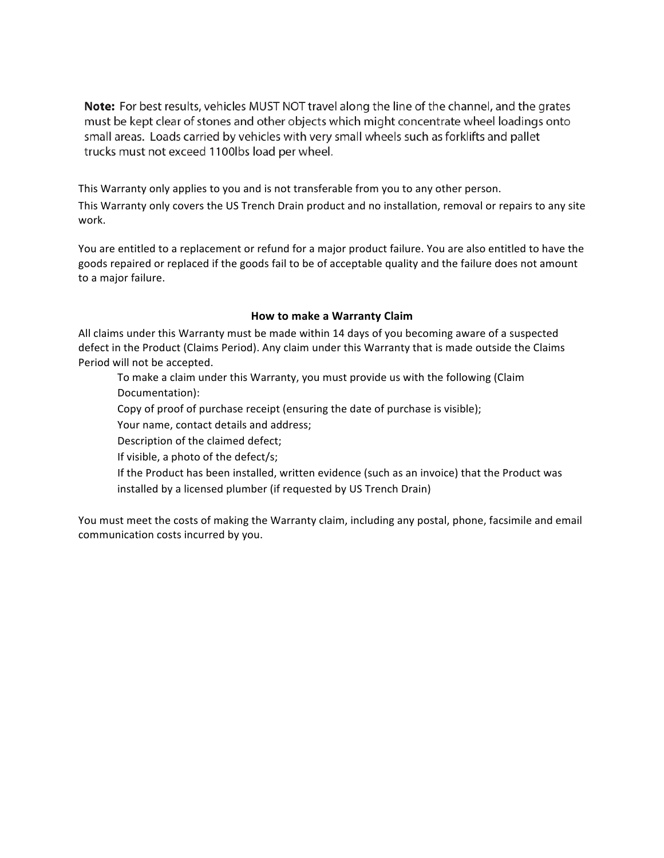**Note:** For best results, vehicles MUST NOT travel along the line of the channel, and the grates must be kept clear of stones and other objects which might concentrate wheel loadings onto small areas. Loads carried by vehicles with very small wheels such as forklifts and pallet trucks must not exceed 1100lbs load per wheel.

This Warranty only applies to you and is not transferable from you to any other person.

This Warranty only covers the US Trench Drain product and no installation, removal or repairs to any site work.

You are entitled to a replacement or refund for a major product failure. You are also entitled to have the goods repaired or replaced if the goods fail to be of acceptable quality and the failure does not amount to a major failure.

#### **How to make a Warranty Claim**

All claims under this Warranty must be made within 14 days of you becoming aware of a suspected defect in the Product (Claims Period). Any claim under this Warranty that is made outside the Claims Period will not be accepted.

To make a claim under this Warranty, you must provide us with the following (Claim Documentation):

Copy of proof of purchase receipt (ensuring the date of purchase is visible);

Your name, contact details and address;

Description of the claimed defect;

If visible, a photo of the defect/s;

If the Product has been installed, written evidence (such as an invoice) that the Product was installed by a licensed plumber (if requested by US Trench Drain)

You must meet the costs of making the Warranty claim, including any postal, phone, facsimile and email communication costs incurred by you.